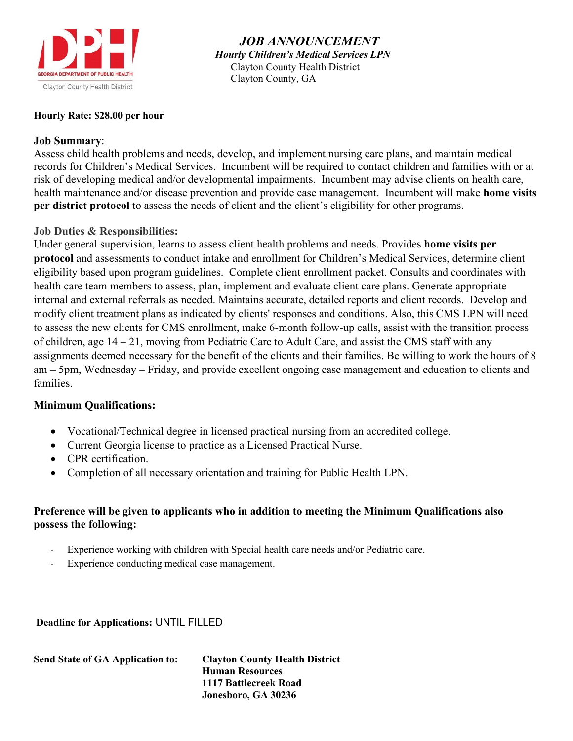

 *JOB ANNOUNCEMENT Hourly Children's Medical Services LPN* Clayton County Health District Clayton County, GA

## **Hourly Rate: \$28.00 per hour**

## **Job Summary**:

Assess child health problems and needs, develop, and implement nursing care plans, and maintain medical records for Children's Medical Services. Incumbent will be required to contact children and families with or at risk of developing medical and/or developmental impairments. Incumbent may advise clients on health care, health maintenance and/or disease prevention and provide case management. Incumbent will make **home visits per district protocol** to assess the needs of client and the client's eligibility for other programs.

# **Job Duties & Responsibilities:**

Under general supervision, learns to assess client health problems and needs. Provides **home visits per protocol** and assessments to conduct intake and enrollment for Children's Medical Services, determine client eligibility based upon program guidelines. Complete client enrollment packet. Consults and coordinates with health care team members to assess, plan, implement and evaluate client care plans. Generate appropriate internal and external referrals as needed. Maintains accurate, detailed reports and client records. Develop and modify client treatment plans as indicated by clients' responses and conditions. Also, this CMS LPN will need to assess the new clients for CMS enrollment, make 6-month follow-up calls, assist with the transition process of children, age 14 – 21, moving from Pediatric Care to Adult Care, and assist the CMS staff with any assignments deemed necessary for the benefit of the clients and their families. Be willing to work the hours of 8 am – 5pm, Wednesday – Friday, and provide excellent ongoing case management and education to clients and families.

# **Minimum Qualifications:**

- Vocational/Technical degree in licensed practical nursing from an accredited college.
- Current Georgia license to practice as a Licensed Practical Nurse.
- CPR certification.
- Completion of all necessary orientation and training for Public Health LPN.

# **Preference will be given to applicants who in addition to meeting the Minimum Qualifications also possess the following:**

- Experience working with children with Special health care needs and/or Pediatric care.
- Experience conducting medical case management.

**Deadline for Applications:** UNTIL FILLED

| <b>Send State of GA Application to:</b> | <b>Clayton County Health District</b> |
|-----------------------------------------|---------------------------------------|
|                                         | <b>Human Resources</b>                |
|                                         | 1117 Battlecreek Road                 |
|                                         | Jonesboro, GA 30236                   |